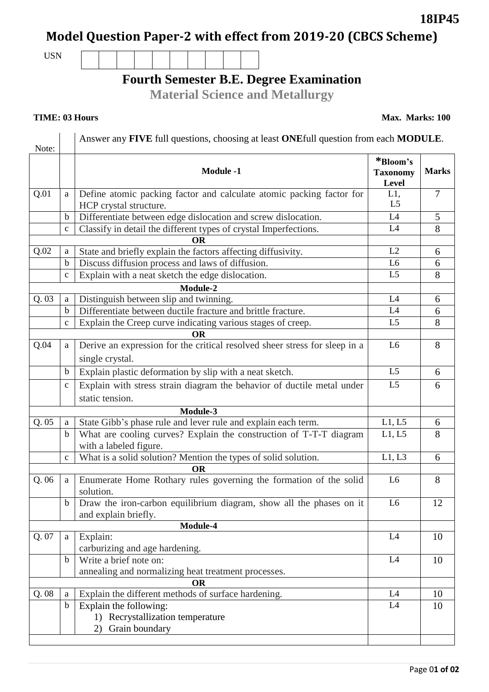Page 0**1 of 02**

# **Model Question Paper-2 with effect from 2019-20 (CBCS Scheme)**

USN

## **Fourth Semester B.E. Degree Examination**

**Material Science and Metallurgy**

 $\overline{\phantom{a}}$ 

Answer any **FIVE** full questions, choosing at least **ONE**full question from each **MODULE**.

| Note:     |              |                                                                                             |                                      |                |  |
|-----------|--------------|---------------------------------------------------------------------------------------------|--------------------------------------|----------------|--|
|           |              | <b>Module -1</b>                                                                            | *Bloom's<br><b>Taxonomy</b><br>Level | <b>Marks</b>   |  |
| Q.01      | a            | Define atomic packing factor and calculate atomic packing factor for                        | L1,                                  | $\overline{7}$ |  |
|           |              | HCP crystal structure.                                                                      | L <sub>5</sub>                       |                |  |
|           | $\mathbf b$  | Differentiate between edge dislocation and screw dislocation.                               | L4                                   | 5              |  |
|           | $\mathbf{C}$ | Classify in detail the different types of crystal Imperfections.                            | L4                                   | 8              |  |
|           |              | <b>OR</b>                                                                                   |                                      |                |  |
| Q.02      | a            | State and briefly explain the factors affecting diffusivity.                                | L2                                   | 6              |  |
|           | $\mathbf b$  | Discuss diffusion process and laws of diffusion.                                            | L <sub>6</sub>                       | 6              |  |
|           | $\mathbf c$  | Explain with a neat sketch the edge dislocation.                                            | L <sub>5</sub>                       | 8              |  |
|           |              | Module-2                                                                                    |                                      |                |  |
| Q. 03     | a            | Distinguish between slip and twinning.                                                      | L4                                   | 6              |  |
|           | $\mathbf b$  | Differentiate between ductile fracture and brittle fracture.                                | L4                                   | 6              |  |
|           | $\mathbf c$  | Explain the Creep curve indicating various stages of creep.                                 | L <sub>5</sub>                       | 8              |  |
| <b>OR</b> |              |                                                                                             |                                      |                |  |
| Q.04      | a            | Derive an expression for the critical resolved sheer stress for sleep in a                  | L <sub>6</sub>                       | 8              |  |
|           |              | single crystal.                                                                             |                                      |                |  |
|           | b            | Explain plastic deformation by slip with a neat sketch.                                     | L <sub>5</sub>                       | 6              |  |
|           | $\mathbf c$  | Explain with stress strain diagram the behavior of ductile metal under                      | L <sub>5</sub>                       | 6              |  |
|           |              | static tension.                                                                             |                                      |                |  |
|           |              | Module-3                                                                                    |                                      |                |  |
| Q.05      | a            | State Gibb's phase rule and lever rule and explain each term.                               | L1, L5                               | 6              |  |
|           | $\mathbf b$  | What are cooling curves? Explain the construction of T-T-T diagram                          | L1, L5                               | 8              |  |
|           |              | with a labeled figure.                                                                      |                                      |                |  |
|           | $\mathbf c$  | What is a solid solution? Mention the types of solid solution.                              | L1, L3                               | 6              |  |
| <b>OR</b> |              |                                                                                             |                                      |                |  |
| Q.06      | a            | Enumerate Home Rothary rules governing the formation of the solid<br>solution.              | L <sub>6</sub>                       | 8              |  |
|           | b            | Draw the iron-carbon equilibrium diagram, show all the phases on it<br>and explain briefly. | L <sub>6</sub>                       | 12             |  |
|           |              | Module-4                                                                                    |                                      |                |  |
| Q. 07     | a            | Explain:                                                                                    | L4                                   | 10             |  |
|           |              | carburizing and age hardening.                                                              |                                      |                |  |
|           | $\mathbf b$  | Write a brief note on:                                                                      | L4                                   | 10             |  |
|           |              | annealing and normalizing heat treatment processes.                                         |                                      |                |  |
|           |              | <b>OR</b>                                                                                   |                                      |                |  |
| Q.08      | a            | Explain the different methods of surface hardening.                                         | L4                                   | 10             |  |
|           | $\bf b$      | Explain the following:                                                                      | L4                                   | 10             |  |
|           |              | 1) Recrystallization temperature                                                            |                                      |                |  |
|           |              | Grain boundary<br>2)                                                                        |                                      |                |  |
|           |              |                                                                                             |                                      |                |  |

**TIME: 03 Hours** Max. Marks: 100